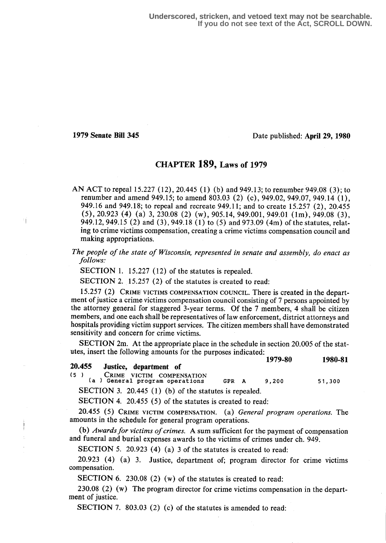**Underscored, stricken, and vetoed text may not be searchable. If you do not see text of the Act, SCROLL DOWN.**

### 1979 Senate Bill 345 Date published: April 29, 1980

## CHAPTER 189, Laws of 1979

AN ACT to repeal 15.227 (12), 20.445 (1) (b) and 949.13; to renumber 949.08 (3); to renumber and amend 949.15; to amend 803.03 (2) (c), 949.02, 949.07, 949.14 (1), 949.16 and 949.18; to repeal and recreate 949.11 ; and to create 15 .257 (2), 20.455 (5), 20.923 (4) (a) 3, 230.08 (2) (w), 905 .14, 949.001, 949.01 (1m), 949.08 (3), 949.12, 949.15 (2) and (3), 949.18 (1) to (5) and 973 .09 (4m) of the statutes, relating to crime victims compensation, creating a crime victims compensation council and making appropriations.

The people of the state of Wisconsin, represented in senate and assembly, do enact as follows:

SECTION 1.  $15.227(12)$  of the statutes is repealed.

SECTION 2. 15.257 (2) of the statutes is created to read:

15.257 (2) CRIME VICTIMS COMPENSATION COUNCIL. There is created in the department of justice a crime victims compensation council consisting of 7 persons appointed by the attorney general for staggered 3-year terms. Of the 7 members, 4 shall be citizen members, and one each shall be representatives of law enforcement, district attorneys and hospitals providing victim support services. The citizen members shall have demonstrated sensitivity and concern for crime victims.

SECTION 2m. At the appropriate place in the schedule in section 20.005 of the statutes, insert the following amounts for the purposes indicated:

|        |                        | 1979-80 | 1980-81 |
|--------|------------------------|---------|---------|
| 20.455 | Justice, department of |         |         |
|        |                        |         |         |

5 ) CRIME VICTIM COMPENSATION (a ) General program operations GPR A 9,200 51,300

SECTION 3. 20.445 (1) (b) of the statutes is repealed.

SECTION 4. 20.455 (5) of the statutes is created to read:

20.455 (5) CRIME VICTIM COMPENSATION. (a) General program operations. The amounts in the schedule for general program operations.

(b) Awards for victims of crimes. A sum sufficient for the payment of compensation and funeral and burial expenses awards to the victims of crimes under ch. 949.

SECTION 5. 20.923 (4) (a) 3 of the statutes is created to read:

 $20.923$  (4) (a) 3. Justice, department of; program director for crime victims compensation.

SECTION 6. 230.08 (2) (w) of the statutes is created to read:

230.08 (2) (w) The program director for crime victims compensation in the department of justice.

SECTION 7. 803.03 (2) (c) of the statutes is amended to read: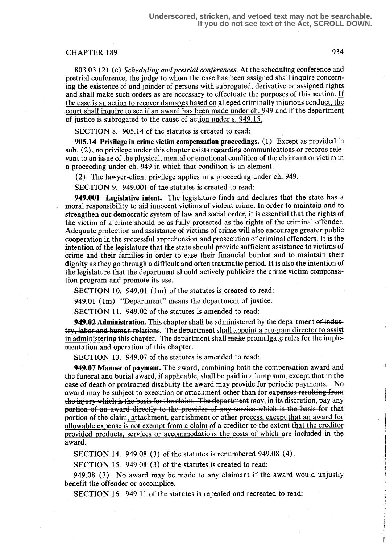# CHAPTER 189 934

803.03 (2) (c) Scheduling and pretrial conferences. At the scheduling conference and pretrial conference, the judge to whom the case has been assigned shall inquire concerning the existence of and joinder of persons with subrogated, derivative or assigned rights and shall make such orders as are necessary to effectuate the purposes of this section. If the case is an action to recover damages based on alleged criminally injurious conduct, the court shall inquire to see if an award has been made under ch. 949 and if the department of justice is subrogated to the cause of action under s. 949.15.

SECTION 8. 905.14 of the statutes is created to read:

905.14 Privilege in crime victim compensation proceedings. (1) Except as provided in sub. (2), no privilege under this chapter exists regarding communications or records relevant to an issue of the physical, mental or emotional condition of the claimant or victim in a proceeding under ch. 949 in which that condition is an element.

(2) The lawyer-client privilege applies in a proceeding under ch. 949.

SECTION 9. 949.001 of the statutes is created to read:

949.001 Legislative intent. The legislature finds and declares that the state has a moral responsibility to aid innocent victims of violent crime. In order to maintain and to strengthen our democratic system of law and social order, it is essential that the rights of the victim of a crime should be as fully protected as the rights of the criminal offender. Adequate protection and assistance of victims of crime will also encourage greater public cooperation in the successful apprehension and prosecution of criminal offenders. It is the intention of the legislature that the state should provide sufficient assistance to victims of crime and their families in order to ease their financial burden and to maintain their dignity as they go through a difficult and often traumatic period . It is also the intention of the legislature that the department should actively publicize the crime victim compensation program and promote its use.

SECTION 10. 949.01 (1m) of the statutes is created to read:

949.01 (1m) "Department" means the department of justice.

SECTION 11. 949.02 of the statutes is amended to read:

949.02 Administration. This chapter shall be administered by the department of industry, labor and human relations. The department shall appoint a program director to assist in administering this chapter. The department shall make promulgate rules for the implementation and operation of this chapter.

SECTION 13. 949.07 of the statutes is amended to read:

949.07 Manner of payment. The award, combining both the compensation award and the funeral and burial award, if applicable, shall be paid in a lump sum, except that in the case of death or protracted disability the award may provide for periodic payments. No award may be subject to execution or attachment other than for expenses resulting from valid may be subject to execution of attachment other than for expensed researing from<br>e injury which is the basis for the claim. The department may, in its discretion, pay any<br>etion of an award directly to the provider of the hijury which is the casts for the clann. The department may, in its discretion, pay any<br>portion of an award directly to the provider of any service which is the basis for that<br>portion of the claim, attachment, garnishm portion of an award directly to the provider of any service which is the basis for that portion of the claim, attachment, garnishment or other process, except that an award for allowable expense is not exempt from a claim provided products services or accommodations the costs of which are included in the award.

SECTION 14. 949.08 (3) of the statutes is renumbered 949.08 (4) .

SECTION 15. 949.08 (3) of the statutes is created to read:

949.08 (3) No award may be made to any claimant if the award would unjustly benefit the offender or accomplice.

SECTION 16. 949.11 of the statutes is repealed and recreated to read: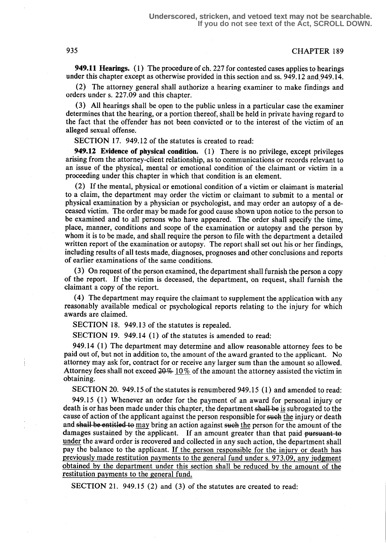949.11 Hearings. (1) The procedure of ch. 227 for contested cases applies to hearings under this chapter except as otherwise provided in this section and ss. 949.12 and 949.14.

(2) The attorney general shall authorize a hearing examiner to make findings and orders under s. 227.09 and this chapter.

(3) All hearings shall be open to the public unless in a particular case the examiner determines that the hearing, or a portion thereof, shall be held in private having regard to the fact that the offender has not been convicted or to the interest of the victim of an alleged sexual offense.

SECTION 17. 949.12 of the statutes is created to read:

949.12 Evidence of physical condition. (1) There is no privilege, except privileges arising from the attorney-client relationship, as to communications or records relevant to an issue of the physical, mental or emotional condition of the claimant or victim in a proceeding under this chapter in which that condition is an element.

(2) If the mental, physical or emotional condition of a victim or claimant is material to a claim, the department may order the victim or claimant to submit to a mental or physical examination by a physician or psychologist, and may order an autopsy of a deceased victim . The order may be made for good cause shown upon notice to the person to be examined and to all persons who have appeared. The order shall specify the time, place, manner, conditions and scope of the examination or autopsy and the person by whom it is to be made, and shall require the person to file with the department a detailed written report of the examination or autopsy. The report shall set out his or her findings, including results of all tests made, diagnoses, prognoses and other conclusions and reports of earlier examinations of the same conditions.

(3) On request of the person examined, the department shall furnish the person a copy of the report. If the victim is deceased, the department, on request, shall furnish the claimant a copy of the report.

(4) The department may require the claimant to supplement the application with any reasonably available medical or psychological reports relating to the injury for which awards are claimed.

SECTION 18. 949.13 of the statutes is repealed.

SECTION 19. 949.14 (1) of the statutes is amended to read:

949.14 (1) The department may determine and allow reasonable attorney fees to be paid out of, but not in addition to, the amount of the award granted to the applicant. No attorney may ask for, contract for or receive any larger sum than the amount so allowed. Attorney fees shall not exceed  $20\%$  10% of the amount the attorney assisted the victim in obtaining.

SECTION 20. 949.15 of the statutes is renumbered 949.15 (1) and amended to read:

949.15 (1) Whenever an order for the payment of an award for personal injury or death is or has been made under this chapter, the department shall be is subrogated to the cause of action of the applicant against the person responsible for such the injury or death and shall be entitled to may bring an action against such the person for the amount of the damages sustained by the applicant. If an amount greater than that paid pursuant to under the award order is recovered and collected in any such action, the department shall pay the balance to the applicant. If the person responsible for the injury or death has previously made restitution payments to the general fund under s. 973.09 any judgment obtained by the department under this section shall be reduced by the amount of the restitution payments to the general fund.

SECTION 21. 949.15 (2) and (3) of the statutes are created to read: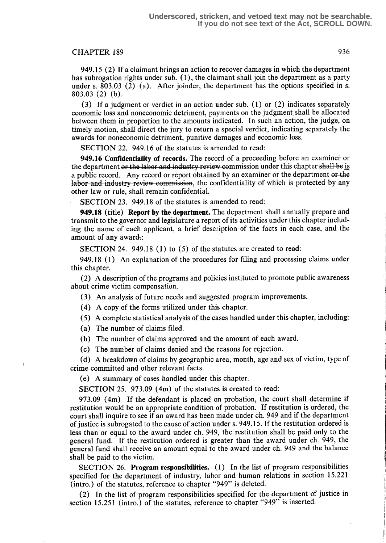#### CHAPTER 189 936

949.15 (2) If a claimant brings an action to recover damages in which the department has subrogation rights under sub. (1), the claimant shall join the department as a party under s. 803.03 (2) (a). After joinder, the department has the options specified in s. 803.03 (2) (b) .

(3) If a judgment or verdict in an action under sub. (1) or (2) indicates separately economic loss and noneconomic detriment, payments on the judgment shall be allocated between them in proportion to the amounts indicated. In such an action, the judge, on timely motion, shall direct the jury to return a special verdict, indicating separately the awards for noneconomic detriment, punitive damages and economic loss .

SECTION 22. 949.16 of the statutes is amended to read:

949.16 Confidentiality of records. The record of a proceeding before an examiner or the department or the labor and industry review commission under this chapter shall be is a public record. Any record or report obtained by an examiner or the department or the labor and industry review commission, the confidentiality of which is protected by any other law or rule, shall remain confidential.

SECTION 23 . 949.18 of the statutes is amended to read:

949.18 (title) Report by the department . The department shall annually prepare and transmit to the governor and legislature a report of its activities under this chapter including the name of each applicant, a brief description of the facts in each case, and the amount of any award::

SECTION 24. 949.18 (1) to (5) of the statutes are created to read:

949.18 (1) An explanation of the procedures for filing and processing claims under this chapter.

(2) A description of the programs and policies instituted to promote public awareness about crime victim compensation.

(3) An analysis of future needs and suggested program improvements.

(4) A copy of the forms utilized under this chapter.

(5) A complete statistical analysis of the cases handled under this chapter, including:

(a) The number of claims filed.

(b) The number of claims approved and the amount of each award.

(c) The number of claims denied and the reasons for rejection.

(d) A breakdown of claims by geographic area, month, age and sex of victim, type of crime committed and other relevant facts.

(e) A summary of cases handled under this chapter.

SECTION 25. 973.09 (4m) of the statutes is created to read:

973.09 (4m) If the defendant is placed on probation, the court shall determine if restitution would be an appropriate condition of probation. If restitution is ordered, the court shall inquire to see if an award has been made under ch. 949 and if the department of justice is subrogated to the cause of action under s. 949.15. If the restitution ordered is less than or equal to the award under ch. 949, the restitution shall be paid only to the general fund. If the restitution ordered is greater than the award under ch. 949, the general fund shall receive an amount equal to the award under ch. 949 and the balance shall be paid to the victim.

SECTION 26. Program responsibilities. (1) In the list of program responsibilities specified for the department of industry, labor and human relations in section 15 .221 (intro.) of the statutes, reference to chapter "949" is deleted.

(2) In the list of program responsibilities specified for the department of justice in section 15.251 (intro.) of the statutes, reference to chapter "949" is inserted.